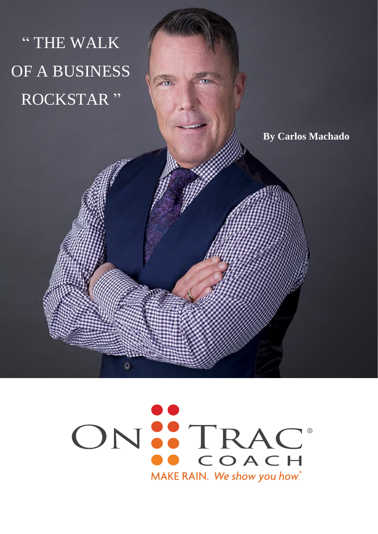

# ON ... TRAC MAKE RAIN. We show you how.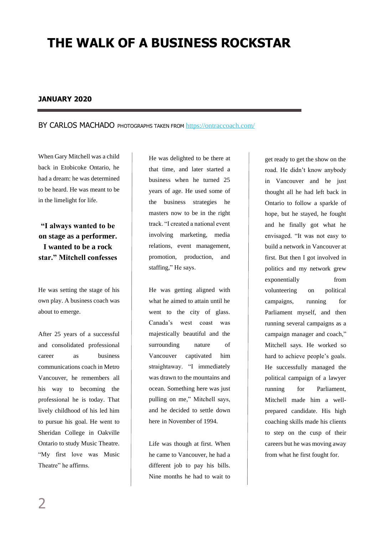# **THE WALK OF A BUSINESS ROCKSTAR**

#### **JANUARY 2020**

#### BY CARLOS MACHADO PHOTOGRAPHS TAKEN FROM <https://ontraccoach.com/>

When Gary Mitchell was a child back in Etobicoke Ontario, he had a dream: he was determined to be heard. He was meant to be in the limelight for life.

### **"I always wanted to be on stage as a performer. I wanted to be a rock star." Mitchell confesses**

He was setting the stage of his own play. A business coach was about to emerge.

After 25 years of a successful and consolidated professional career as business communications coach in Metro Vancouver, he remembers all his way to becoming the professional he is today. That lively childhood of his led him to pursue his goal. He went to Sheridan College in Oakville Ontario to study Music Theatre. "My first love was Music Theatre" he affirms.

He was delighted to be there at that time, and later started a business when he turned 25 years of age. He used some of the business strategies he masters now to be in the right track. "I created a national event involving marketing, media relations, event management, promotion, production, and staffing," He says.

He was getting aligned with what he aimed to attain until he went to the city of glass. Canada's west coast was majestically beautiful and the surrounding nature of Vancouver captivated him straightaway. "I immediately was drawn to the mountains and ocean. Something here was just pulling on me," Mitchell says, and he decided to settle down here in November of 1994.

Life was though at first. When he came to Vancouver, he had a different job to pay his bills. Nine months he had to wait to get ready to get the show on the road. He didn't know anybody in Vancouver and he just thought all he had left back in Ontario to follow a sparkle of hope, but he stayed, he fought and he finally got what he envisaged. "It was not easy to build a network in Vancouver at first. But then I got involved in politics and my network grew exponentially from volunteering on political campaigns, running for Parliament myself, and then running several campaigns as a campaign manager and coach," Mitchell says. He worked so hard to achieve people's goals. He successfully managed the political campaign of a lawyer running for Parliament, Mitchell made him a wellprepared candidate. His high coaching skills made his clients to step on the cusp of their careers but he was moving away from what he first fought for.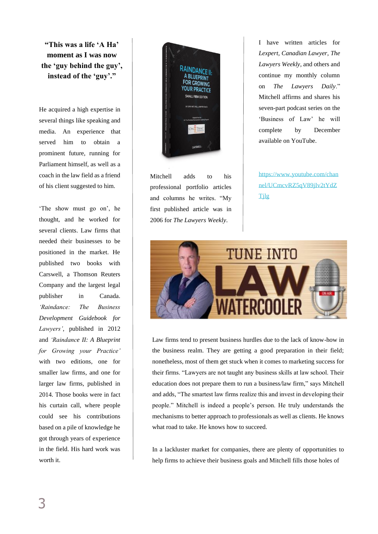**"This was a life 'A Ha' moment as I was now the 'guy behind the guy', instead of the 'guy'."** 

He acquired a high expertise in several things like speaking and media. An experience that served him to obtain a prominent future, running for Parliament himself, as well as a coach in the law field as a friend of his client suggested to him.

'The show must go on', he thought, and he worked for several clients. Law firms that needed their businesses to be positioned in the market. He published two books with Carswell, a Thomson Reuters Company and the largest legal publisher in Canada. *'Raindance: The Business Development Guidebook for Lawyers'*, published in 2012 and *'Raindance II: A Blueprint for Growing your Practice'* with two editions, one for smaller law firms, and one for larger law firms, published in 2014. Those books were in fact his curtain call, where people could see his contributions based on a pile of knowledge he got through years of experience in the field. His hard work was worth it.



Mitchell adds to his professional portfolio articles and columns he writes. "My first published article was in 2006 for *The Lawyers Weekly*.

I have written articles for *Lexpert, Canadian Lawyer*, *The Lawyers Weekly*, and others and continue my monthly column on *The Lawyers Daily*." Mitchell affirms and shares his seven-part podcast series on the 'Business of Law' he will complete by December available on YouTube.

[https://www.youtube.com/chan](https://www.youtube.com/channel/UCmcvRZ5qV89jIv2tYdZTjlg) [nel/UCmcvRZ5qV89jIv2tYdZ](https://www.youtube.com/channel/UCmcvRZ5qV89jIv2tYdZTjlg) [Tjlg](https://www.youtube.com/channel/UCmcvRZ5qV89jIv2tYdZTjlg)



Law firms tend to present business hurdles due to the lack of know-how in the business realm. They are getting a good preparation in their field; nonetheless, most of them get stuck when it comes to marketing success for their firms. "Lawyers are not taught any business skills at law school. Their education does not prepare them to run a business/law firm," says Mitchell and adds, "The smartest law firms realize this and invest in developing their people." Mitchell is indeed a people's person. He truly understands the mechanisms to better approach to professionals as well as clients. He knows what road to take. He knows how to succeed.

In a lackluster market for companies, there are plenty of opportunities to help firms to achieve their business goals and Mitchell fills those holes of